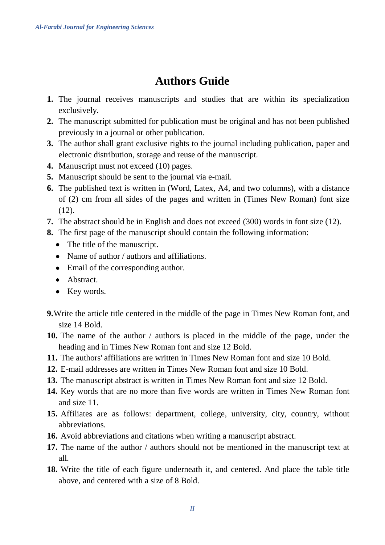## **Authors Guide**

- **1.** The journal receives manuscripts and studies that are within its specialization exclusively.
- **2.** The manuscript submitted for publication must be original and has not been published previously in a journal or other publication.
- **3.** The author shall grant exclusive rights to the journal including publication, paper and electronic distribution, storage and reuse of the manuscript.
- **4.** Manuscript must not exceed (10) pages.
- **5.** Manuscript should be sent to the journal via e-mail.
- **6.** The published text is written in (Word, Latex, A4, and two columns), with a distance of (2) cm from all sides of the pages and written in (Times New Roman) font size  $(12)$ .
- **7.** The abstract should be in English and does not exceed (300) words in font size (12).
- **8.** The first page of the manuscript should contain the following information:
	- The title of the manuscript.
	- Name of author / authors and affiliations.
	- Email of the corresponding author.
	- Abstract.
	- Key words.
- **9.**Write the article title centered in the middle of the page in Times New Roman font, and size 14 Bold.
- **10.** The name of the author / authors is placed in the middle of the page, under the heading and in Times New Roman font and size 12 Bold.
- **11.** The authors' affiliations are written in Times New Roman font and size 10 Bold.
- **12.** E-mail addresses are written in Times New Roman font and size 10 Bold.
- **13.** The manuscript abstract is written in Times New Roman font and size 12 Bold.
- **14.** Key words that are no more than five words are written in Times New Roman font and size 11.
- **15.** Affiliates are as follows: department, college, university, city, country, without abbreviations.
- **16.** Avoid abbreviations and citations when writing a manuscript abstract.
- **17.** The name of the author / authors should not be mentioned in the manuscript text at all.
- **18.** Write the title of each figure underneath it, and centered. And place the table title above, and centered with a size of 8 Bold.